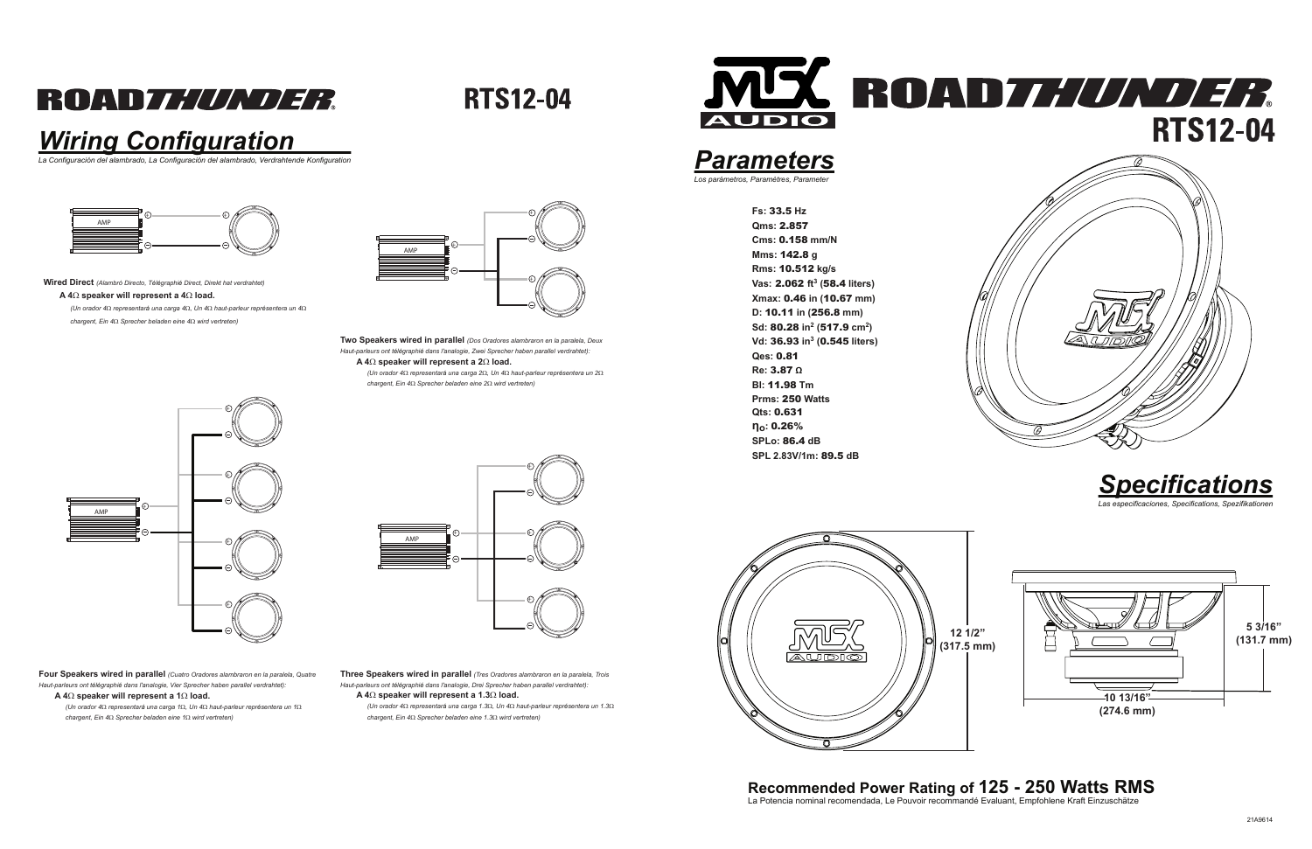## **ROADZ////////**

**RTS12-04** 

**SPL 2.83V/1m:** 89.5 **dB**

### *Wiring Configuration*



*La Configuración del alambrado, La Configuración del alambrado, Verdrahtende Konfiguration*

## **Recommended Power Rating of 125 - 250 Watts RMS** La Potencia nominal recomendada, Le Pouvoir recommandé Evaluant, Empfohlene Kraft Einzuschätze











**Wired Direct** *(Alambró Directo, Télégraphié Direct, Direkt hat verdrahtet)*

### **A 4**Ω **speaker will represent a 4**Ω **load.**

*(Un orador 4*Ω *representará una carga 4*Ω*, Un 4*Ω *haut-parleur représentera un 4*Ω*chargent, Ein 4*Ω *Sprecher beladen eine 4*Ω *wird vertreten)*

> **Two Speakers wired in parallel** *(Dos Oradores alambraron en la paralela, Deux Haut-parleurs ont télégraphié dans l'analogie, Zwei Sprecher haben parallel verdrahtet):***A 4**Ω **speaker will represent a 2**Ω **load.**

*(Un orador 4*Ω *representará una carga 2*Ω*, Un 4*Ω *haut-parleur représentera un 2*Ω*chargent, Ein 4*Ω *Sprecher beladen eine 2*Ω *wird vertreten)*

**Four Speakers wired in parallel** *(Cuatro Oradores alambraron en la paralela, Quatre Haut-parleurs ont télégraphié dans l'analogie, Vier Sprecher haben parallel verdrahtet):***A 4**Ω **speaker will represent a 1**Ω **load.**

 *(Un orador 4*Ω *representará una carga 1*Ω*, Un 4*Ω *haut-parleur représentera un 1*Ω*chargent, Ein 4*Ω *Sprecher beladen eine 1*Ω *wird vertreten)*

**Three Speakers wired in parallel** *(Tres Oradores alambraron en la paralela, Trois Haut-parleurs ont télégraphié dans l'analogie, Drei Sprecher haben parallel verdrahtet):***A 4**Ω **speaker will represent a 1.3**Ω **load.**

 *(Un orador 4*Ω *representará una carga 1.3*Ω*, Un 4*Ω *haut-parleur représentera un 1.3*Ω*chargent, Ein 4*Ω *Sprecher beladen eine 1.3*Ω *wird vertreten)*